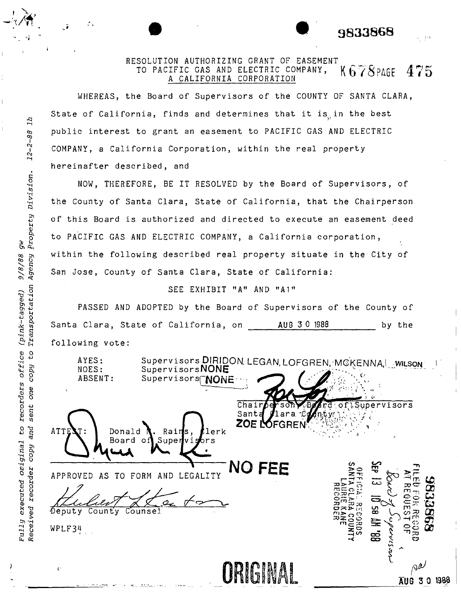## RESOLUTION AUTHORIZING GRANT OF EASEMENT TO PACIFIC GAS AND ELECTRIC COMPANY,  $K678$  PAGE 475 A CALIFORNIA CORPORATION

• • **<sup>9833868</sup>** :'.'.

WHEREAS, the Board of Supervisors of the COUNTY OF SANTA CLARA, State of California, finds and determines that it is in the best public interest to grant an easement to PACIFIC GAS AND ELECTRIC COMPANY, a California Corporation, within the real property hereinafter described, and

8<br>86-

 $\mathbf{7} \mathbf{7}$ 

 $\mathbb{Z}$ 

gw<br>Property Division.

Agency 9/8/88

Transportation (pink-tagged)

office  $c_3$ 

recorders one

Fully executed original to

copy

sent

and

copy

Received recorder

NOW, THEREFORE, BE IT RESOLVED by the Board of Supervisors, of the County of Santa Clara, State of California, that the Chairperson of this Board is authorized and directed to execute an easement deed to PACIFIC GAS AND ELECTRIC COMPANY, a California corporation, within the following described real property situate in the City of San Jose, County of Santa Clara, State of California:

## SEE EXHIBIT "A" AND "Al"

Santa Clara, State of California, on AUG 3 0 1988 PASSED AND ADOPTED by the Board of Supervisors of the County of by the following vote:

Supervisors DIRIDON. LEGAN, LOFGREN, MCKENNA |\_wiLson AYES: SupervisorsNONE NOES: ABSENT: Supervisors<sup>(</sup>NONE ----\_I  $\overline{\texttt{Chain}}$ ervisors Sant ZOF I' FGRE ATTE Donald Rain 'lerk Board Super brs APPROVED AS TO FORM AND LEGALITY **NO FEE** County Counsel ဌ  $\sqrt{2}$ eputy  $WPLF34$ .<br>සි ORIGINAL <sup>~</sup>  $A^{\mu}$  and  $A^{\mu}$  and  $B^{\mu}$  and  $B^{\mu}$  and  $B^{\mu}$  and  $B^{\mu}$  and  $B^{\mu}$  and  $B^{\mu}$  and  $B^{\mu}$  and  $B^{\mu}$  and  $B^{\mu}$  and  $B^{\mu}$  and  $B^{\mu}$  and  $B^{\mu}$  and  $B^{\mu}$  and  $B^{\mu}$  and  $B^{\mu}$  and  $B^{\mu}$  and  $B^{\mu$  $\mathbf{C}$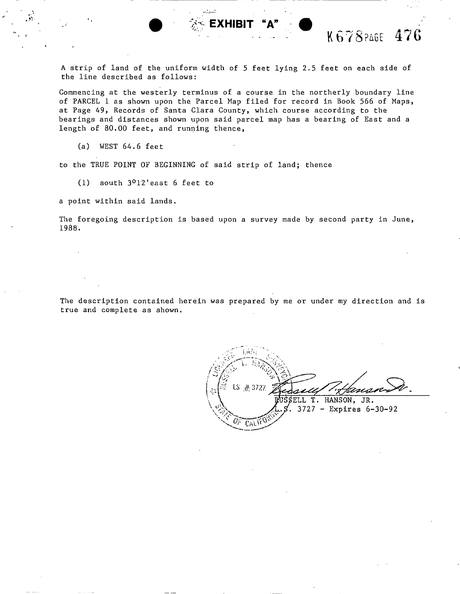$\bullet$  **EXHIBIT "A"**  $\bullet$  K678 PAGE 476

A strip of land of the uniform width of 5 feet lying 2.5 feet on each side of the line described as follows:

--- - -- ---------------

Commencing at the westerly terminus of a course in the northerly boundary line of PARCEL 1 as shown upon the Parcel Map filed for record in Book 566 of Maps, at Page 49, Records of Santa Clara County, which course according to the bearings and distances shown upon said parcel map has a bearing of East and a length of 80.00 feet, and running thence,

(a) WEST 64.6 feet

to the TRUE POINT OF BEGINNING of said strip of land; thence

(1) south 3012'east 6 feet to

a point within said lands.

The foregoing description is based upon a survey made by second party in June, 1988.

The description contained herein was prepared by me or under my direction and is true and complete as shown.

LS. 业 3727 twa SELL T. HANSON, JR. . 3727 - Expires 6-30-92 $GALV$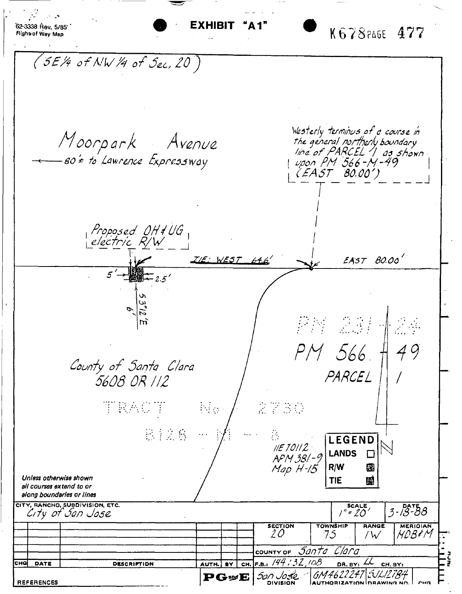62-3338 Rev. 5/85 K678PAGE 477 Right of Way Map (5E/4 of NW /4 of Sec, 20) Westerly terminus of a course in<br>the general northerly boundary<br>line of PARCEL 1 as shown<br>upon PM 566-M-49<br>(EAST 80.00') Moorpark Avenue<br>– so't to Lawrence Expressway Proposed OH # UG<br>| electric R/W  $EAST$  80.00'  $\mathcal{IIE}: WEST = 64.67$  $\overline{2.5}'$ 我好 说话 m 49 PM 566 County of Santa Clara PARCEL 5608 OR 112 TRACT  $\mathbb{N}_{\Omega}$  . 2730 812.6 LEGEND  $I/E$  10112 **LANDS**  $\Box$ APM 381-9 Map H-15  $R/W$ 図 Unless otherwise shown **TIE** 爴 all courses extend to or along boundaries or lines CITY, RANCHO, SUBDIVISION, ETC.  $\overline{\overline{\phantom{0}5^\circ}^{scate}}$  $3 - 18 - 88$ City of San Jose **SECTION TOWNSHIP** RANGE **MERIOIAN MDB+M** 20 75 /  $\mathcal V$ COUNTY OF SANTO Clara F.B.,  $144:32:108$ DR. BY:  $A$  CH. BY: снај DATE DESCRIPTION AUTH. BY CH. GM4622247\:\*\L127B4 San Jose.  $\mathbf{P}$ GwE **REFERENCES**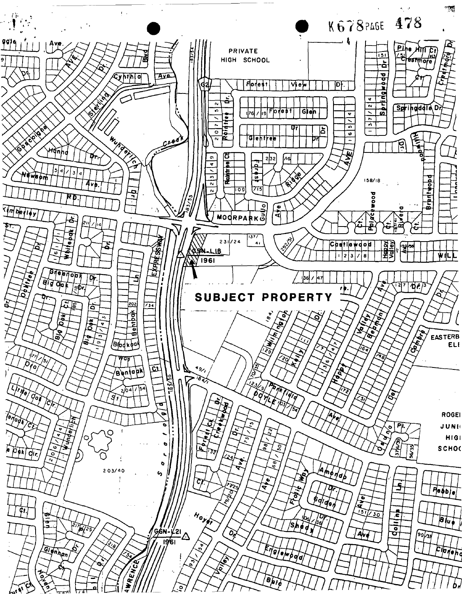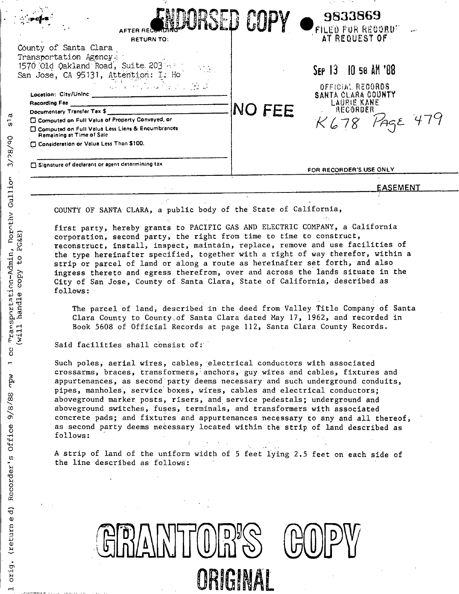|                                                                                                                                                                                                                                                                                                                                                                                                                                                                                                                                                    |               | and the company of the company                                                                                     |
|----------------------------------------------------------------------------------------------------------------------------------------------------------------------------------------------------------------------------------------------------------------------------------------------------------------------------------------------------------------------------------------------------------------------------------------------------------------------------------------------------------------------------------------------------|---------------|--------------------------------------------------------------------------------------------------------------------|
| AFTER REC<br><b>RETURN TO:</b>                                                                                                                                                                                                                                                                                                                                                                                                                                                                                                                     |               | 9833869<br>FILED FOR RECORD"<br>AT REQUEST OF                                                                      |
| County of Santa Clara                                                                                                                                                                                                                                                                                                                                                                                                                                                                                                                              |               |                                                                                                                    |
| Transportation Agency -<br>1570 Old Oakland Road, Suite 203 Allen<br>San Jose, CA 95131, Attention: I. Ho<br>المحمد المعاشرة<br>المحمد المعاشرة المحمد المحمد المحمد المحمد المحمد المحمد المحمد المحمد المحمد المحمد المحمد المحمد المحمد الم<br>Location: City/Unine _________________<br>Racording Fae<br>Documentary Transfer Tax \$<br><b>C Computed on Full Valua of Property Convayed, or</b><br><b>Computed on Full Valua Less Liens &amp; Encumbrances</b><br>Remaining at Time of Sale<br><b>Consideration or Valua Less Than \$100.</b> | <b>NO FEE</b> | SEP 13 10 58 AM '88<br>OFFICIAL RECORDS<br>SANTA CLARA COUNTY<br><b>LAURIE KANE</b><br><b>AECORDER</b><br>PAGE 479 |
| Signature of declarant or agent determining tax                                                                                                                                                                                                                                                                                                                                                                                                                                                                                                    |               | FOR RECORDER'S USE ONLY                                                                                            |
|                                                                                                                                                                                                                                                                                                                                                                                                                                                                                                                                                    |               | EASEMENT                                                                                                           |
|                                                                                                                                                                                                                                                                                                                                                                                                                                                                                                                                                    |               |                                                                                                                    |

COUNTY OF SANTA CLARA, a public body of the State of California,

first party, hereby grants to PACIFIC GAS AND ELECTRIC COMPANY, a California corporation, second party, the right from time to time to construct, reconstruct, install, inspect, maintain, replace, remove and use facilities of the type hereinafter specified, together with a right of way therefor, within a strip or parcel of land or along a route as hereinafter set forth, and also ingress thereto and egress therefrom, over and across the lands situate in the City of San Jose, County of Santa Clara, State of California, described as follows:

The parcel of land, described in the deed from Valley Title Company of Santa Clara County to County of Santa Clara dated May 17, 1962, and recorded in Book 5608 of Official Records at page 112, Santa Clara County Records.

Said facilities shall consist of:

 $\sigma$ 5

 $3/98/90$ 

Transportation-Admin, Dorothy Gullion

g  $\blacksquare$ 

wdw

 $9/8/88$ 

Recorder's Office

orig. (return ed)

 $\rightarrow$ 

will handle copy to PG&E)

Such poles, aerial wires, cables, electrical conductors with associated crossarms, braces, transformers, anchors, guy wires and cables, fixtures and appurtenances, as second party deems necessary and such underground conduits, pipes, manholes, service boxes, wires, cables and electrical conductors; aboveground marker posts, risers, and service pedestals; underground and aboveground switches, fuses, terminals, and transformers with associated concrete pads; and fixtures and appurtenances necessary to any and all thereof, as second party deems necessary located within the strip of land described as follows:

A strip of land of the uniform width of 5 feet lying 2.5 feet on each side of the line described as follows:

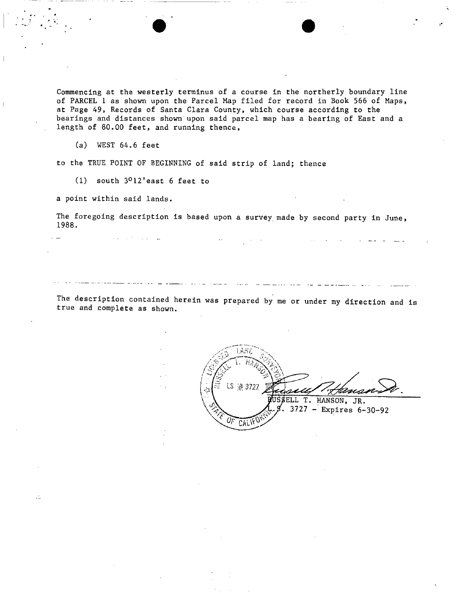Commencing at the westerly terminus of a course in the northerly boundary line of PARCEL 1 as shown upon the Parcel Map filed for record in Book 566 of Maps, at Page 49, Records of Santa Clara County, which course according to the bearings and distances shown upon said parcel map has a bearing of East and a length of 80.00 feet, and running thence,

(a) WEST 64.6 feet

**......•. '** .-

 $\dddot{\phantom{1}}$ 

to the TRUE POINT OF BEGINNING of said strip of land; thence

(1) south 3012'east 6 feet to

a point within said lands.

The foregoing description is based upon a survey made by second party in June, 1988.

The description contained herein was prepared by me or under my direction and is true and complete as shown.

LS # 3727 <u>tware</u> ELL T. HANSON, JR.  $3727 -$  Expires 6-30-92  $CALW$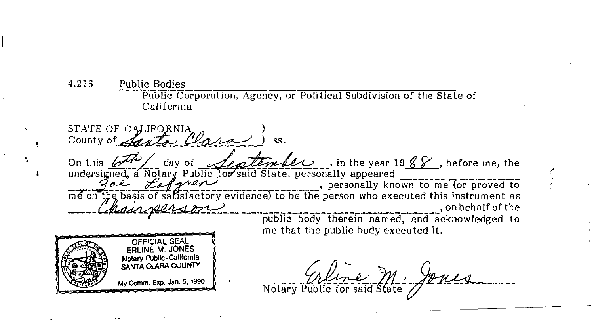4.216 **Public Bodies** Public Corporation, Agency, or Political Subdivision of the State of California

STATE OF CALIFORNIA *lestenter 1988*, before me, the On this  $b^{\pi}$ day of undersigned, a Notary Public for said State, personally appeared<br>
The Sale Service includes to be the personally known to me (or proved to<br>
me on the basis of satisfactory evidence) to be the person who executed this instr on behalf of the public body therein named, and acknowledged to me that the public body executed it.



Watery Public for said State Jones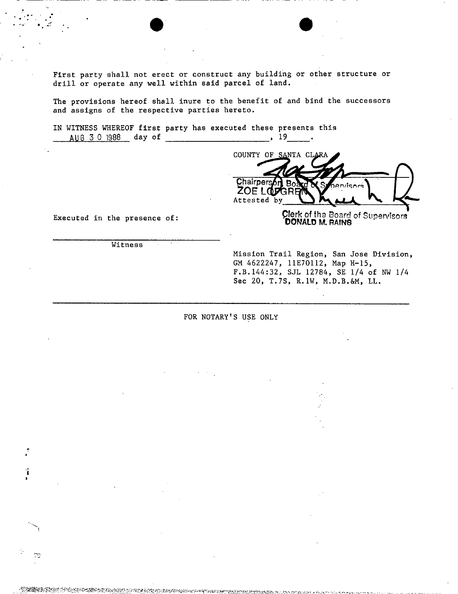First party shall not erect or construct any building or other structure or drill or operate any well within said parcel of land.

 $\bullet$   $\bullet$   $\bullet$ 

The provisions hereof shall inure to the benefit of and bind the successors and assigns of the respective parties hereto.

IN WITNESS WHEREOF first party has executed these presents this AUG 3 0 1988 day of , 19

COUNTY OF SANTA CI Chairpers icard **ZOELOF** by  $\sum$   $M$   $\sum$ 

Executed in the presence of:

:

I •

œ

**Qlerk of the Board of Supervisors DONAto M. RAfNS '**

**Witness** 

Mission Trail Region, San Jose Division, GM 4622247, 11E70112, Map H-1S, F.B.144:32, SJL 12784, SE 1/4 of NW 1/4 Sec 20, T.7S, R.1W, M.D.B.&M, LL.

FOR NOTARY'S USE ONLY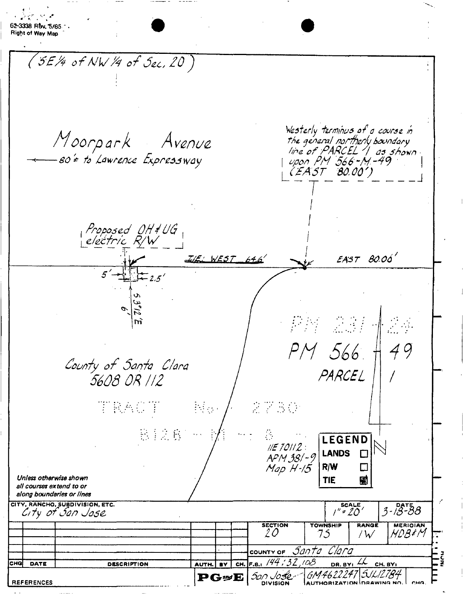|                                                       |                                 |                                                                                  |                                                                                                                                     | 20                        | COUNTY OF Santa Clara<br>CH. F.B.: $/44/32/08$ | 75                                | / $W$<br>DR. BY: $44$ CH. BY: | <i>MDB</i> #M                                                                                                                                                                                                                                                                                                                                                                                                                                                           |                                                                                                                                                             |
|-------------------------------------------------------|---------------------------------|----------------------------------------------------------------------------------|-------------------------------------------------------------------------------------------------------------------------------------|---------------------------|------------------------------------------------|-----------------------------------|-------------------------------|-------------------------------------------------------------------------------------------------------------------------------------------------------------------------------------------------------------------------------------------------------------------------------------------------------------------------------------------------------------------------------------------------------------------------------------------------------------------------|-------------------------------------------------------------------------------------------------------------------------------------------------------------|
|                                                       |                                 |                                                                                  |                                                                                                                                     |                           |                                                |                                   |                               |                                                                                                                                                                                                                                                                                                                                                                                                                                                                         |                                                                                                                                                             |
|                                                       |                                 |                                                                                  |                                                                                                                                     |                           |                                                |                                   |                               |                                                                                                                                                                                                                                                                                                                                                                                                                                                                         |                                                                                                                                                             |
|                                                       |                                 |                                                                                  |                                                                                                                                     |                           | <b>SECTION</b>                                 | <b>TOWNSHIP</b>                   | <b>RANGE</b>                  | <b>MERIOIAN</b>                                                                                                                                                                                                                                                                                                                                                                                                                                                         |                                                                                                                                                             |
|                                                       |                                 |                                                                                  |                                                                                                                                     |                           |                                                |                                   |                               |                                                                                                                                                                                                                                                                                                                                                                                                                                                                         |                                                                                                                                                             |
| all courses extend to or<br>along boundaries or lines |                                 |                                                                                  |                                                                                                                                     |                           |                                                |                                   |                               |                                                                                                                                                                                                                                                                                                                                                                                                                                                                         |                                                                                                                                                             |
| Unless otherwise shown                                |                                 |                                                                                  |                                                                                                                                     |                           |                                                |                                   |                               |                                                                                                                                                                                                                                                                                                                                                                                                                                                                         |                                                                                                                                                             |
|                                                       |                                 |                                                                                  |                                                                                                                                     |                           |                                                |                                   |                               |                                                                                                                                                                                                                                                                                                                                                                                                                                                                         |                                                                                                                                                             |
|                                                       |                                 |                                                                                  |                                                                                                                                     |                           |                                                |                                   |                               |                                                                                                                                                                                                                                                                                                                                                                                                                                                                         |                                                                                                                                                             |
|                                                       |                                 |                                                                                  |                                                                                                                                     |                           |                                                |                                   |                               |                                                                                                                                                                                                                                                                                                                                                                                                                                                                         |                                                                                                                                                             |
|                                                       |                                 |                                                                                  |                                                                                                                                     |                           |                                                |                                   |                               |                                                                                                                                                                                                                                                                                                                                                                                                                                                                         |                                                                                                                                                             |
|                                                       |                                 |                                                                                  |                                                                                                                                     |                           |                                                |                                   |                               |                                                                                                                                                                                                                                                                                                                                                                                                                                                                         |                                                                                                                                                             |
|                                                       |                                 |                                                                                  |                                                                                                                                     |                           |                                                |                                   |                               |                                                                                                                                                                                                                                                                                                                                                                                                                                                                         |                                                                                                                                                             |
|                                                       |                                 |                                                                                  |                                                                                                                                     |                           |                                                |                                   |                               |                                                                                                                                                                                                                                                                                                                                                                                                                                                                         |                                                                                                                                                             |
|                                                       |                                 |                                                                                  |                                                                                                                                     |                           |                                                |                                   |                               |                                                                                                                                                                                                                                                                                                                                                                                                                                                                         |                                                                                                                                                             |
|                                                       |                                 |                                                                                  |                                                                                                                                     |                           |                                                |                                   |                               |                                                                                                                                                                                                                                                                                                                                                                                                                                                                         |                                                                                                                                                             |
|                                                       |                                 |                                                                                  |                                                                                                                                     |                           |                                                |                                   |                               |                                                                                                                                                                                                                                                                                                                                                                                                                                                                         |                                                                                                                                                             |
|                                                       |                                 |                                                                                  |                                                                                                                                     |                           |                                                |                                   |                               |                                                                                                                                                                                                                                                                                                                                                                                                                                                                         |                                                                                                                                                             |
|                                                       | $\overline{\mathfrak{t}-z}$ .5' |                                                                                  |                                                                                                                                     |                           |                                                |                                   |                               |                                                                                                                                                                                                                                                                                                                                                                                                                                                                         |                                                                                                                                                             |
|                                                       |                                 |                                                                                  |                                                                                                                                     |                           |                                                |                                   |                               |                                                                                                                                                                                                                                                                                                                                                                                                                                                                         |                                                                                                                                                             |
|                                                       |                                 |                                                                                  |                                                                                                                                     |                           |                                                |                                   |                               |                                                                                                                                                                                                                                                                                                                                                                                                                                                                         |                                                                                                                                                             |
|                                                       |                                 |                                                                                  |                                                                                                                                     |                           |                                                |                                   |                               |                                                                                                                                                                                                                                                                                                                                                                                                                                                                         |                                                                                                                                                             |
|                                                       |                                 |                                                                                  |                                                                                                                                     |                           |                                                |                                   |                               |                                                                                                                                                                                                                                                                                                                                                                                                                                                                         |                                                                                                                                                             |
|                                                       |                                 |                                                                                  |                                                                                                                                     |                           |                                                |                                   |                               |                                                                                                                                                                                                                                                                                                                                                                                                                                                                         |                                                                                                                                                             |
|                                                       |                                 |                                                                                  |                                                                                                                                     |                           |                                                |                                   |                               |                                                                                                                                                                                                                                                                                                                                                                                                                                                                         |                                                                                                                                                             |
|                                                       |                                 |                                                                                  |                                                                                                                                     |                           |                                                |                                   |                               |                                                                                                                                                                                                                                                                                                                                                                                                                                                                         |                                                                                                                                                             |
|                                                       |                                 |                                                                                  |                                                                                                                                     |                           |                                                |                                   |                               |                                                                                                                                                                                                                                                                                                                                                                                                                                                                         |                                                                                                                                                             |
|                                                       |                                 |                                                                                  |                                                                                                                                     |                           |                                                |                                   |                               |                                                                                                                                                                                                                                                                                                                                                                                                                                                                         |                                                                                                                                                             |
|                                                       |                                 |                                                                                  |                                                                                                                                     |                           |                                                |                                   |                               |                                                                                                                                                                                                                                                                                                                                                                                                                                                                         |                                                                                                                                                             |
|                                                       |                                 |                                                                                  |                                                                                                                                     |                           |                                                |                                   |                               |                                                                                                                                                                                                                                                                                                                                                                                                                                                                         |                                                                                                                                                             |
|                                                       |                                 |                                                                                  |                                                                                                                                     |                           |                                                |                                   |                               |                                                                                                                                                                                                                                                                                                                                                                                                                                                                         |                                                                                                                                                             |
|                                                       |                                 |                                                                                  |                                                                                                                                     |                           |                                                |                                   |                               |                                                                                                                                                                                                                                                                                                                                                                                                                                                                         |                                                                                                                                                             |
|                                                       |                                 | 5608 OR 112<br><b>TRACT</b><br>$C(TY, RANTHO, SUBDIVISION, ETC.CITY OF GAD J0SC$ | $(5E/4$ of NW /4 of Sec, 20)<br>80'= to Lawrence Expressway<br>Proposed OH # UG<br>electric R/W<br>County of Santa Clara<br>B. 接套。… | Moorpark Avenue<br>ini ya | ILE: WEST 646                                  | 2730<br><b>【/ / / / / / / / /</b> | <b>TIE</b>                    | (EAST 80.00')<br>PM 566<br>PARCEL<br>LEGEND<br>$\left(\frac{1}{2} \frac{1}{2} \frac{1}{2} \frac{1}{2} \frac{1}{2} \frac{1}{2} \frac{1}{2} \frac{1}{2} \frac{1}{2} \frac{1}{2} \frac{1}{2} \frac{1}{2} \frac{1}{2} \frac{1}{2} \frac{1}{2} \frac{1}{2} \frac{1}{2} \frac{1}{2} \frac{1}{2} \frac{1}{2} \frac{1}{2} \frac{1}{2} \frac{1}{2} \frac{1}{2} \frac{1}{2} \frac{1}{2} \frac{1}{2} \frac{1}{2} \frac{1}{2} \frac{1}{2} \frac{1}{2} \$<br>團<br>$T^{\text{scale}}$ | Westerly terminus of a course in<br>the general northerly boundary<br>line of PARCEL 1 as shown<br>upon PM 566-M-49<br>$EAST$ 80.00'<br>49<br>$3 - 18 - 88$ |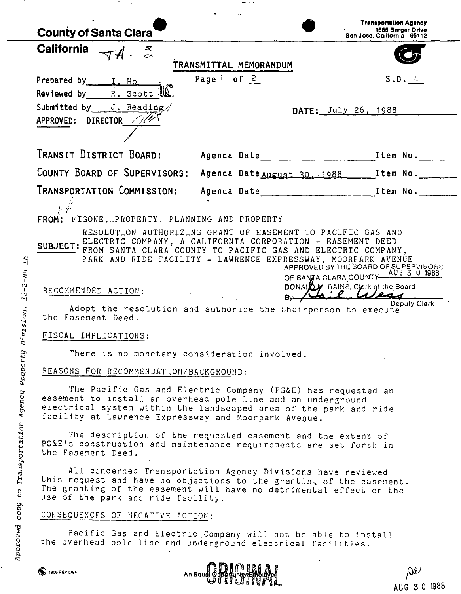| <b>County of Santa Clara</b>                                                                                                                                                                                                                                                                                                                                                                                                                                                                                                                                                                                                                                                                                                                                                                                                                                                                                                                                                                                                      |                                   |                                             | <b>Transportation Agency</b><br>1555 Berger Drive<br>San Jose, California 95112 |  |  |  |  |
|-----------------------------------------------------------------------------------------------------------------------------------------------------------------------------------------------------------------------------------------------------------------------------------------------------------------------------------------------------------------------------------------------------------------------------------------------------------------------------------------------------------------------------------------------------------------------------------------------------------------------------------------------------------------------------------------------------------------------------------------------------------------------------------------------------------------------------------------------------------------------------------------------------------------------------------------------------------------------------------------------------------------------------------|-----------------------------------|---------------------------------------------|---------------------------------------------------------------------------------|--|--|--|--|
| <b>California</b><br>$\nabla A = \vec{S}$                                                                                                                                                                                                                                                                                                                                                                                                                                                                                                                                                                                                                                                                                                                                                                                                                                                                                                                                                                                         |                                   | TRANSMITTAL MEMORANDUM                      |                                                                                 |  |  |  |  |
| Prepared by I. Ho<br>Reviewed by $\qquad$ R. Scott $\mathbb{R}$ .                                                                                                                                                                                                                                                                                                                                                                                                                                                                                                                                                                                                                                                                                                                                                                                                                                                                                                                                                                 | Page <sup>1</sup> of <sup>2</sup> |                                             | S.D. 4                                                                          |  |  |  |  |
| Submitted by J. Reading/<br>APPROVED: DIRECTOR //                                                                                                                                                                                                                                                                                                                                                                                                                                                                                                                                                                                                                                                                                                                                                                                                                                                                                                                                                                                 |                                   | DATE: July 26, 1988                         |                                                                                 |  |  |  |  |
|                                                                                                                                                                                                                                                                                                                                                                                                                                                                                                                                                                                                                                                                                                                                                                                                                                                                                                                                                                                                                                   |                                   |                                             |                                                                                 |  |  |  |  |
|                                                                                                                                                                                                                                                                                                                                                                                                                                                                                                                                                                                                                                                                                                                                                                                                                                                                                                                                                                                                                                   |                                   |                                             |                                                                                 |  |  |  |  |
| COUNTY BOARD OF SUPERVISORS:                                                                                                                                                                                                                                                                                                                                                                                                                                                                                                                                                                                                                                                                                                                                                                                                                                                                                                                                                                                                      |                                   | Agenda Date August 30, 1988 [Item No. 1889] |                                                                                 |  |  |  |  |
| TRANSPORTATION COMMISSION:                                                                                                                                                                                                                                                                                                                                                                                                                                                                                                                                                                                                                                                                                                                                                                                                                                                                                                                                                                                                        |                                   |                                             |                                                                                 |  |  |  |  |
| FROM: FIGONE, PROPERTY, PLANNING AND PROPERTY<br>RESOLUTION AUTHORIZING GRANT OF EASEMENT TO PACIFIC GAS AND<br>SUBJECT: ELECTRIC COMPANY, A CALIFORNIA CORPORATION - EASEMENT DEED<br>FROM SANTA CLARA COUNTY TO PACIFIC GAS AND ELECTRIC COMPANY,<br>PARK AND RIDE FACILITY - LAWRENCE EXPRESSWAY, MOORPARK AVENUE<br>APPROVED BY THE BOARD OF SUPERVISORS<br>OF SANJA CLARA COUNTY AUG 3 0 1988<br>DONALD M. RAINS, Clerk of the Board<br>RECOMMENDED ACTION:<br>$By - 1$<br>Deputy Clerk<br>Adopt the resolution and authorize the Chairperson to execute<br>the Easement Deed.<br>FISCAL IMPLICATIONS:<br>There is no monetary consideration involved.<br>REASONS FOR RECOMMENDATION/BACKGROUND:<br>The Pacific Gas and Electric Company (PG&E) has requested an<br>easement to install an overhead pole line and an underground<br>electrical system within the landscaped area of the park and ride<br>facility at Lawrence Expressway and Moorpark Avenue.<br>The description of the requested easement and the extent of |                                   |                                             |                                                                                 |  |  |  |  |
| PG&E's construction and maintenance requirements are set forth in<br>the Easement Deed.<br>All concerned Transportation Agency Divisions have reviewed<br>this request and have no objections to the granting of the easement.<br>The granting of the easement will have no detrimental effect on the<br>use of the park and ride facility.<br>CONSEQUENCES OF NEGATIVE ACTION:<br>Pacific Gas and Electric Company will not be able to install<br>the overhead pole line and underground electrical facilities.                                                                                                                                                                                                                                                                                                                                                                                                                                                                                                                  |                                   |                                             |                                                                                 |  |  |  |  |

H.,

 $\rightarrow$   $\rightarrow$   $\rightarrow$   $\rightarrow$ 

-76

 $\epsilon \rightarrow \pi$ 

 $\hspace{0.1mm}$ 

An Equel Dependent Light of